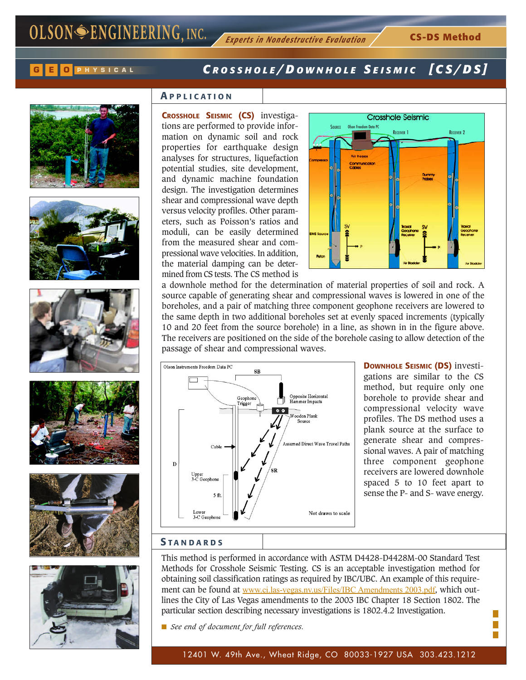

# **<sup>G</sup> <sup>E</sup> <sup>O</sup> PHYSICAL** *C ROSSHOLE / D OWNHOLE S EISMIC [ CS/DS ]*













# **A PPLICATION**

**CROSSHOLE SEISMIC (CS)** investigations are performed to provide information on dynamic soil and rock properties for earthquake design analyses for structures, liquefaction potential studies, site development, and dynamic machine foundation design. The investigation determines shear and compressional wave depth versus velocity profiles. Other parameters, such as Poisson's ratios and moduli, can be easily determined from the measured shear and compressional wave velocities. In addition, the material damping can be determined from CS tests. The CS method is



a downhole method for the determination of material properties of soil and rock. A source capable of generating shear and compressional waves is lowered in one of the boreholes, and a pair of matching three component geophone receivers are lowered to the same depth in two additional boreholes set at evenly spaced increments (typically 10 and 20 feet from the source borehole) in a line, as shown in in the figure above. The receivers are positioned on the side of the borehole casing to allow detection of the passage of shear and compressional waves.



**DOWNHOLE SEISMIC (DS)** investigations are similar to the CS method, but require only one borehole to provide shear and compressional velocity wave profiles. The DS method uses a plank source at the surface to generate shear and compressional waves. A pair of matching three component geophone receivers are lowered downhole spaced 5 to 10 feet apart to sense the P- and S- wave energy.

> П Г

#### **S TANDARDS**

This method is performed in accordance with ASTM D4428-D4428M-00 Standard Test Methods for Crosshole Seismic Testing. CS is an acceptable investigation method for obtaining soil classification ratings as required by IBC/UBC. An example of this requirement can be found at www.ci.las-vegas.nv.us/Files/IBC Amendments 2003.pdf, which outlines the City of Las Vegas amendments to the 2003 IBC Chapter 18 Section 1802. The particular section describing necessary investigations is 1802.4.2 Investigation.

■ *See end of document for full references.*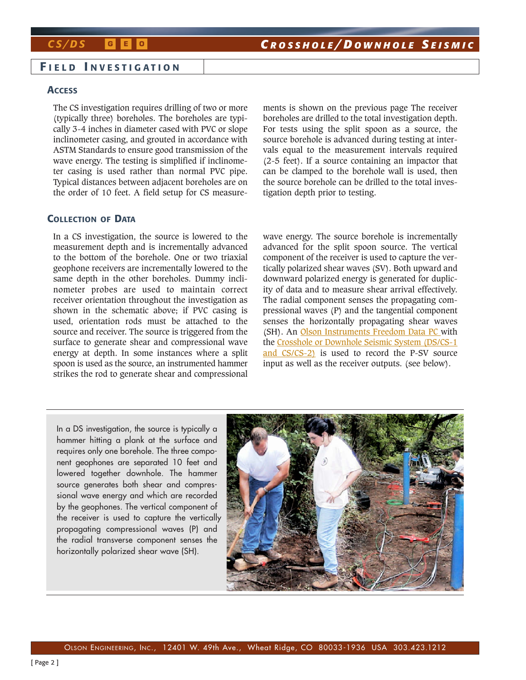# **G E O**

### **F IELD I NVESTIGATION**

#### **ACCESS**

The CS investigation requires drilling of two or more (typically three) boreholes. The boreholes are typically 3-4 inches in diameter cased with PVC or slope inclinometer casing, and grouted in accordance with ASTM Standards to ensure good transmission of the wave energy. The testing is simplified if inclinometer casing is used rather than normal PVC pipe. Typical distances between adjacent boreholes are on the order of 10 feet. A field setup for CS measurements is shown on the previous page The receiver boreholes are drilled to the total investigation depth. For tests using the split spoon as a source, the source borehole is advanced during testing at intervals equal to the measurement intervals required (2-5 feet). If a source containing an impactor that can be clamped to the borehole wall is used, then the source borehole can be drilled to the total investigation depth prior to testing.

### **COLLECTION OF DATA**

In a CS investigation, the source is lowered to the measurement depth and is incrementally advanced to the bottom of the borehole. One or two triaxial geophone receivers are incrementally lowered to the same depth in the other boreholes. Dummy inclinometer probes are used to maintain correct receiver orientation throughout the investigation as shown in the schematic above; if PVC casing is used, orientation rods must be attached to the source and receiver. The source is triggered from the surface to generate shear and compressional wave energy at depth. In some instances where a split spoon is used as the source, an instrumented hammer strikes the rod to generate shear and compressional wave energy. The source borehole is incrementally advanced for the split spoon source. The vertical component of the receiver is used to capture the vertically polarized shear waves (SV). Both upward and downward polarized energy is generated for duplicity of data and to measure shear arrival effectively. The radial component senses the propagating compressional waves (P) and the tangential component senses the horizontally propagating shear waves (SH). An Olson Instruments Freedom Data PC with the Crosshole or Downhole Seismic System (DS/CS-1 and CS/CS-2) is used to record the P-SV source input as well as the receiver outputs. (see below).

In a DS investigation, the source is typically a hammer hitting a plank at the surface and requires only one borehole. The three component geophones are separated 10 feet and lowered together downhole. The hammer source generates both shear and compressional wave energy and which are recorded by the geophones. The vertical component of the receiver is used to capture the vertically propagating compressional waves (P) and the radial transverse component senses the horizontally polarized shear wave (SH).

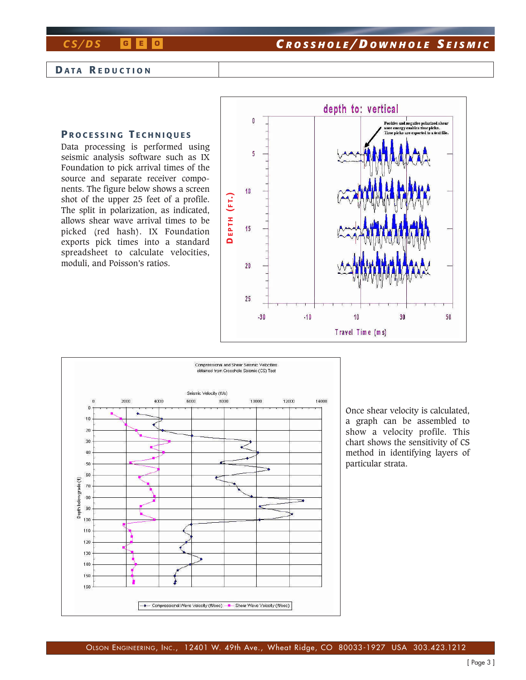# *CS/DS* **<sup>G</sup> <sup>E</sup> <sup>O</sup>** *C ROSSHOLE / D OWNHOLE S EISMIC*

### **D ATA R EDUCTION**

## **P ROCESSING T ECHNIQUES**

Data processing is performed using seismic analysis software such as IX Foundation to pick arrival times of the source and separate receiver components. The figure below shows a screen shot of the upper 25 feet of a profile. The split in polarization, as indicated, allows shear wave arrival times to be picked (red hash). IX Foundation exports pick times into a standard spreadsheet to calculate velocities, moduli, and Poisson's ratios.





Once shear velocity is calculated, a graph can be assembled to show a velocity profile. This chart shows the sensitivity of CS method in identifying layers of particular strata.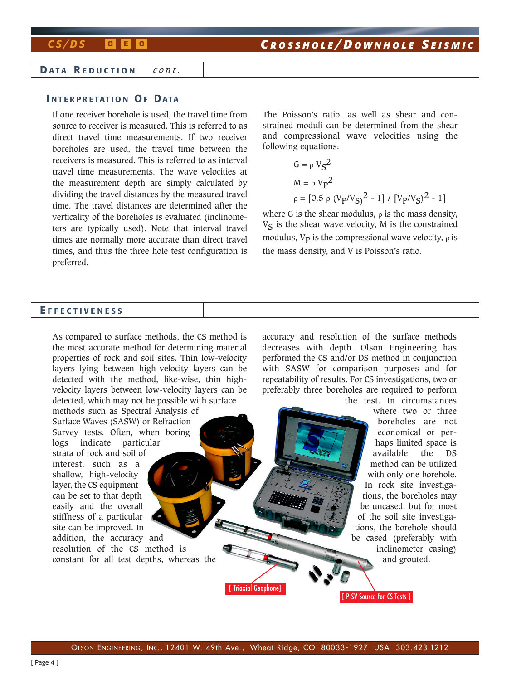### **D ATA R EDUCTION** *cont.*

# **I NTERPRETATION OF DATA**

If one receiver borehole is used, the travel time from source to receiver is measured. This is referred to as direct travel time measurements. If two receiver boreholes are used, the travel time between the receivers is measured. This is referred to as interval travel time measurements. The wave velocities at the measurement depth are simply calculated by dividing the travel distances by the measured travel time. The travel distances are determined after the verticality of the boreholes is evaluated (inclinometers are typically used). Note that interval travel times are normally more accurate than direct travel times, and thus the three hole test configuration is preferred.

The Poisson's ratio, as well as shear and constrained moduli can be determined from the shear and compressional wave velocities using the following equations:

$$
G = \rho V_S^2
$$
  
\n
$$
M = \rho V_P^2
$$
  
\n
$$
\rho = [0.5 \rho (V_P/V_S)^2 - 1] / [V_P/V_S)^2 - 1]
$$

where G is the shear modulus,  $\rho$  is the mass density,  $V<sub>S</sub>$  is the shear wave velocity, M is the constrained modulus,  $V_p$  is the compressional wave velocity,  $\rho$  is the mass density, and V is Poisson's ratio.

[ P-SV Source for CS Tests ]

## **E FFECTIVENESS**

As compared to surface methods, the CS method is the most accurate method for determining material properties of rock and soil sites. Thin low-velocity layers lying between high-velocity layers can be detected with the method, like-wise, thin highvelocity layers between low-velocity layers can be detected, which may not be possible with surface methods such as Spectral Analysis of Surface Waves (SASW) or Refraction Survey tests. Often, when boring logs indicate particular strata of rock and soil of interest, such as a shallow, high-velocity layer, the CS equipment can be set to that depth easily and the overall stiffness of a particular site can be improved. In addition, the accuracy and resolution of the CS method is constant for all test depths, whereas the accuracy and resolution of the surface methods decreases with depth. Olson Engineering has performed the CS and/or DS method in conjunction with SASW for comparison purposes and for repeatability of results. For CS investigations, two or preferably three boreholes are required to perform the test. In circumstances where two or three boreholes are not economical or perhaps limited space is available the DS method can be utilized with only one borehole. In rock site investigations, the boreholes may be uncased, but for most of the soil site investigations, the borehole should be cased (preferably with inclinometer casing) and grouted. [ Triaxial Geophone]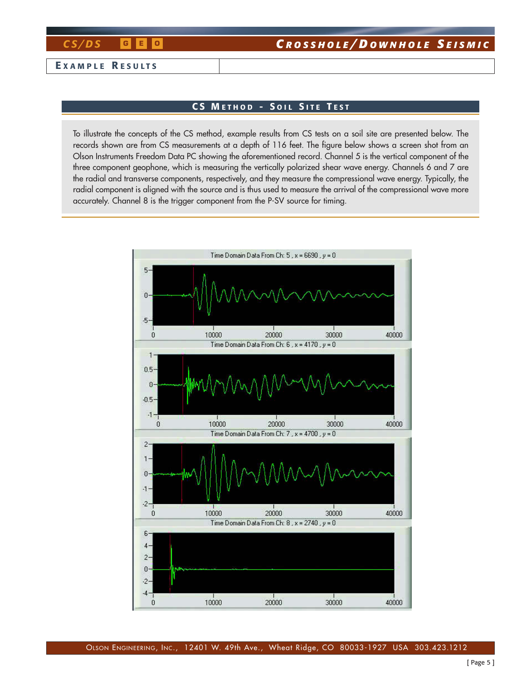### **E XAMPLE R ESULTS**

## **CS M ETHOD - S OIL S ITE T EST**

To illustrate the concepts of the CS method, example results from CS tests on a soil site are presented below. The records shown are from CS measurements at a depth of 116 feet. The figure below shows a screen shot from an Olson Instruments Freedom Data PC showing the aforementioned record. Channel 5 is the vertical component of the three component geophone, which is measuring the vertically polarized shear wave energy. Channels 6 and 7 are the radial and transverse components, respectively, and they measure the compressional wave energy. Typically, the radial component is aligned with the source and is thus used to measure the arrival of the compressional wave more accurately. Channel 8 is the trigger component from the P-SV source for timing.

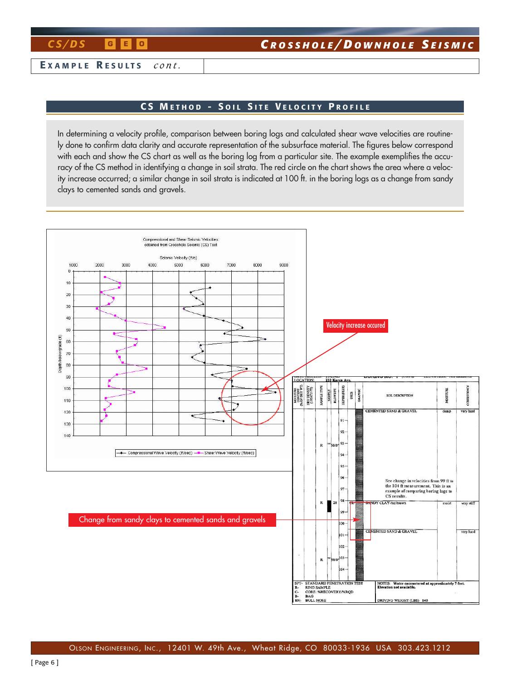**E XAMPLE R ESULTS** *cont.*

## **CS M ETHOD - S OIL S ITE V ELOCITY P ROFILE**

In determining a velocity profile, comparison between boring logs and calculated shear wave velocities are routinely done to confirm data clarity and accurate representation of the subsurface material. The figures below correspond with each and show the CS chart as well as the boring log from a particular site. The example exemplifies the accuracy of the CS method in identifying a change in soil strata. The red circle on the chart shows the area where a velocity increase occurred; a similar change in soil strata is indicated at 100 ft. in the boring logs as a change from sandy clays to cemented sands and gravels.